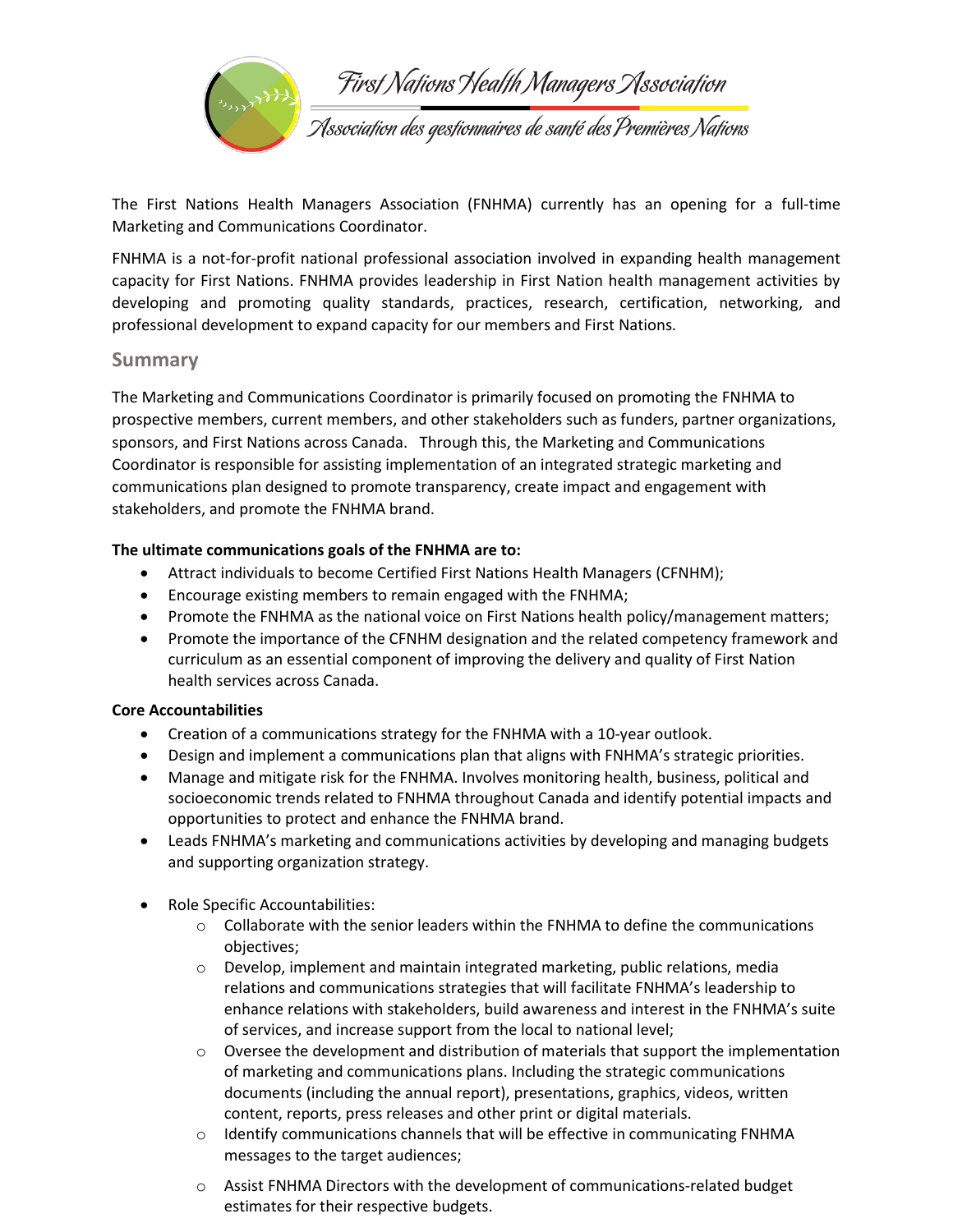

The First Nations Health Managers Association (FNHMA) currently has an opening for a full-time Marketing and Communications Coordinator.

FNHMA is a not-for-profit national professional association involved in expanding health management capacity for First Nations. FNHMA provides leadership in First Nation health management activities by developing and promoting quality standards, practices, research, certification, networking, and professional development to expand capacity for our members and First Nations.

## **Summary**

The Marketing and Communications Coordinator is primarily focused on promoting the FNHMA to prospective members, current members, and other stakeholders such as funders, partner organizations, sponsors, and First Nations across Canada. Through this, the Marketing and Communications Coordinator is responsible for assisting implementation of an integrated strategic marketing and communications plan designed to promote transparency, create impact and engagement with stakeholders, and promote the FNHMA brand.

### **The ultimate communications goals of the FNHMA are to:**

- Attract individuals to become Certified First Nations Health Managers (CFNHM);
- Encourage existing members to remain engaged with the FNHMA;
- Promote the FNHMA as the national voice on First Nations health policy/management matters;
- Promote the importance of the CFNHM designation and the related competency framework and curriculum as an essential component of improving the delivery and quality of First Nation health services across Canada.

### **Core Accountabilities**

- Creation of a communications strategy for the FNHMA with a 10-year outlook.
- Design and implement a communications plan that aligns with FNHMA's strategic priorities.
- Manage and mitigate risk for the FNHMA. Involves monitoring health, business, political and socioeconomic trends related to FNHMA throughout Canada and identify potential impacts and opportunities to protect and enhance the FNHMA brand.
- Leads FNHMA's marketing and communications activities by developing and managing budgets and supporting organization strategy.
- Role Specific Accountabilities:
	- $\circ$  Collaborate with the senior leaders within the FNHMA to define the communications objectives;
	- o Develop, implement and maintain integrated marketing, public relations, media relations and communications strategies that will facilitate FNHMA's leadership to enhance relations with stakeholders, build awareness and interest in the FNHMA's suite of services, and increase support from the local to national level;
	- $\circ$  Oversee the development and distribution of materials that support the implementation of marketing and communications plans. Including the strategic communications documents (including the annual report), presentations, graphics, videos, written content, reports, press releases and other print or digital materials.
	- $\circ$  Identify communications channels that will be effective in communicating FNHMA messages to the target audiences;
	- $\circ$  Assist FNHMA Directors with the development of communications-related budget estimates for their respective budgets.